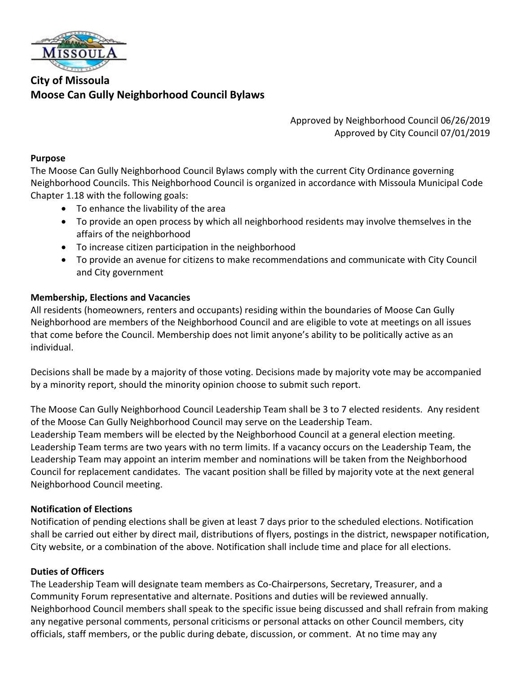

# **City of Missoula Moose Can Gully Neighborhood Council Bylaws**

Approved by Neighborhood Council 06/26/2019 Approved by City Council 07/01/2019

#### **Purpose**

The Moose Can Gully Neighborhood Council Bylaws comply with the current City Ordinance governing Neighborhood Councils. This Neighborhood Council is organized in accordance with Missoula Municipal Code Chapter 1.18 with the following goals:

- To enhance the livability of the area
- To provide an open process by which all neighborhood residents may involve themselves in the affairs of the neighborhood
- To increase citizen participation in the neighborhood
- To provide an avenue for citizens to make recommendations and communicate with City Council and City government

#### **Membership, Elections and Vacancies**

All residents (homeowners, renters and occupants) residing within the boundaries of Moose Can Gully Neighborhood are members of the Neighborhood Council and are eligible to vote at meetings on all issues that come before the Council. Membership does not limit anyone's ability to be politically active as an individual.

Decisions shall be made by a majority of those voting. Decisions made by majority vote may be accompanied by a minority report, should the minority opinion choose to submit such report.

The Moose Can Gully Neighborhood Council Leadership Team shall be 3 to 7 elected residents. Any resident of the Moose Can Gully Neighborhood Council may serve on the Leadership Team. Leadership Team members will be elected by the Neighborhood Council at a general election meeting. Leadership Team terms are two years with no term limits. If a vacancy occurs on the Leadership Team, the Leadership Team may appoint an interim member and nominations will be taken from the Neighborhood Council for replacement candidates. The vacant position shall be filled by majority vote at the next general Neighborhood Council meeting.

#### **Notification of Elections**

Notification of pending elections shall be given at least 7 days prior to the scheduled elections. Notification shall be carried out either by direct mail, distributions of flyers, postings in the district, newspaper notification, City website, or a combination of the above. Notification shall include time and place for all elections.

#### **Duties of Officers**

The Leadership Team will designate team members as Co-Chairpersons, Secretary, Treasurer, and a Community Forum representative and alternate. Positions and duties will be reviewed annually. Neighborhood Council members shall speak to the specific issue being discussed and shall refrain from making any negative personal comments, personal criticisms or personal attacks on other Council members, city officials, staff members, or the public during debate, discussion, or comment. At no time may any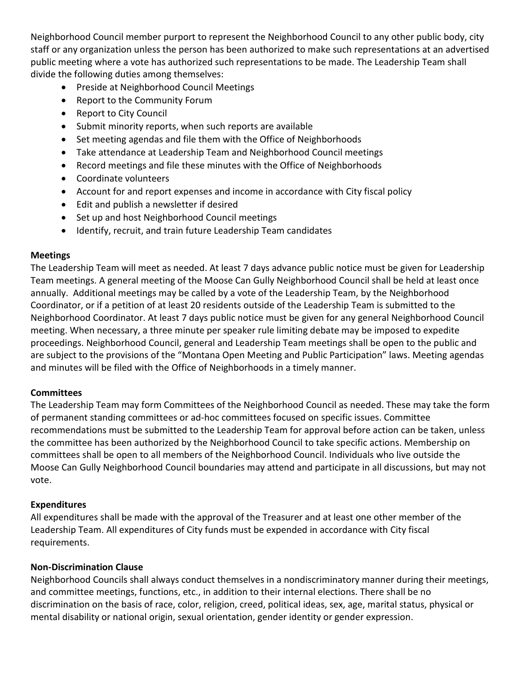Neighborhood Council member purport to represent the Neighborhood Council to any other public body, city staff or any organization unless the person has been authorized to make such representations at an advertised public meeting where a vote has authorized such representations to be made. The Leadership Team shall divide the following duties among themselves:

- Preside at Neighborhood Council Meetings
- Report to the Community Forum
- Report to City Council
- Submit minority reports, when such reports are available
- Set meeting agendas and file them with the Office of Neighborhoods
- Take attendance at Leadership Team and Neighborhood Council meetings
- Record meetings and file these minutes with the Office of Neighborhoods
- Coordinate volunteers
- Account for and report expenses and income in accordance with City fiscal policy
- Edit and publish a newsletter if desired
- Set up and host Neighborhood Council meetings
- Identify, recruit, and train future Leadership Team candidates

### **Meetings**

The Leadership Team will meet as needed. At least 7 days advance public notice must be given for Leadership Team meetings. A general meeting of the Moose Can Gully Neighborhood Council shall be held at least once annually. Additional meetings may be called by a vote of the Leadership Team, by the Neighborhood Coordinator, or if a petition of at least 20 residents outside of the Leadership Team is submitted to the Neighborhood Coordinator. At least 7 days public notice must be given for any general Neighborhood Council meeting. When necessary, a three minute per speaker rule limiting debate may be imposed to expedite proceedings. Neighborhood Council, general and Leadership Team meetings shall be open to the public and are subject to the provisions of the "Montana Open Meeting and Public Participation" laws. Meeting agendas and minutes will be filed with the Office of Neighborhoods in a timely manner.

## **Committees**

The Leadership Team may form Committees of the Neighborhood Council as needed. These may take the form of permanent standing committees or ad-hoc committees focused on specific issues. Committee recommendations must be submitted to the Leadership Team for approval before action can be taken, unless the committee has been authorized by the Neighborhood Council to take specific actions. Membership on committees shall be open to all members of the Neighborhood Council. Individuals who live outside the Moose Can Gully Neighborhood Council boundaries may attend and participate in all discussions, but may not vote.

## **Expenditures**

All expenditures shall be made with the approval of the Treasurer and at least one other member of the Leadership Team. All expenditures of City funds must be expended in accordance with City fiscal requirements.

## **Non-Discrimination Clause**

Neighborhood Councils shall always conduct themselves in a nondiscriminatory manner during their meetings, and committee meetings, functions, etc., in addition to their internal elections. There shall be no discrimination on the basis of race, color, religion, creed, political ideas, sex, age, marital status, physical or mental disability or national origin, sexual orientation, gender identity or gender expression.